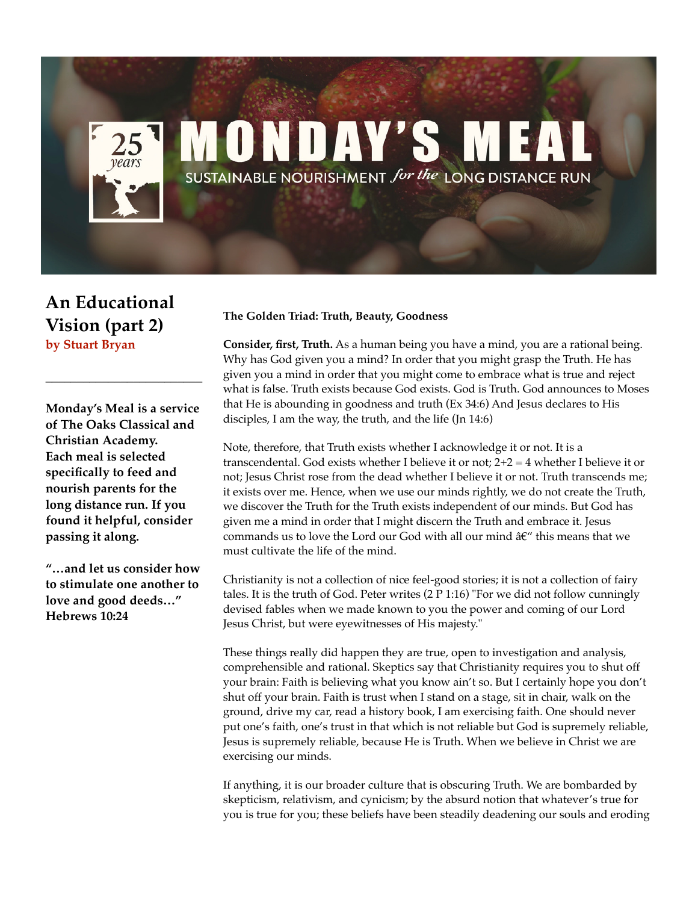## **MONDAY'S MEA** SUSTAINABLE NOURISHMENT for the LONG DISTANCE RUN

**An Educational Vision (part 2) by Stuart Bryan**

**Monday's Meal is a service of The Oaks Classical and Christian Academy. Each meal is selected specifically to feed and nourish parents for the long distance run. If you found it helpful, consider passing it along.** 

**\_\_\_\_\_\_\_\_\_\_\_\_\_\_\_\_\_\_\_\_\_\_\_\_\_**

**"…and let us consider how to stimulate one another to love and good deeds…" Hebrews 10:24**

## **The Golden Triad: Truth, Beauty, Goodness**

**Consider, first, Truth.** As a human being you have a mind, you are a rational being. Why has God given you a mind? In order that you might grasp the Truth. He has given you a mind in order that you might come to embrace what is true and reject what is false. Truth exists because God exists. God is Truth. God announces to Moses that He is abounding in goodness and truth (Ex 34:6) And Jesus declares to His disciples, I am the way, the truth, and the life (Jn 14:6)

Note, therefore, that Truth exists whether I acknowledge it or not. It is a transcendental. God exists whether I believe it or not;  $2+2=4$  whether I believe it or not; Jesus Christ rose from the dead whether I believe it or not. Truth transcends me; it exists over me. Hence, when we use our minds rightly, we do not create the Truth, we discover the Truth for the Truth exists independent of our minds. But God has given me a mind in order that I might discern the Truth and embrace it. Jesus commands us to love the Lord our God with all our mind  $\hat{a}\hat{\epsilon}^{\prime\prime}$  this means that we must cultivate the life of the mind.

Christianity is not a collection of nice feel-good stories; it is not a collection of fairy tales. It is the truth of God. Peter writes (2 P 1:16) "For we did not follow cunningly devised fables when we made known to you the power and coming of our Lord Jesus Christ, but were eyewitnesses of His majesty."

These things really did happen they are true, open to investigation and analysis, comprehensible and rational. Skeptics say that Christianity requires you to shut off your brain: Faith is believing what you know ain't so. But I certainly hope you don't shut off your brain. Faith is trust when I stand on a stage, sit in chair, walk on the ground, drive my car, read a history book, I am exercising faith. One should never put one's faith, one's trust in that which is not reliable but God is supremely reliable, Jesus is supremely reliable, because He is Truth. When we believe in Christ we are exercising our minds.

If anything, it is our broader culture that is obscuring Truth. We are bombarded by skepticism, relativism, and cynicism; by the absurd notion that whatever's true for you is true for you; these beliefs have been steadily deadening our souls and eroding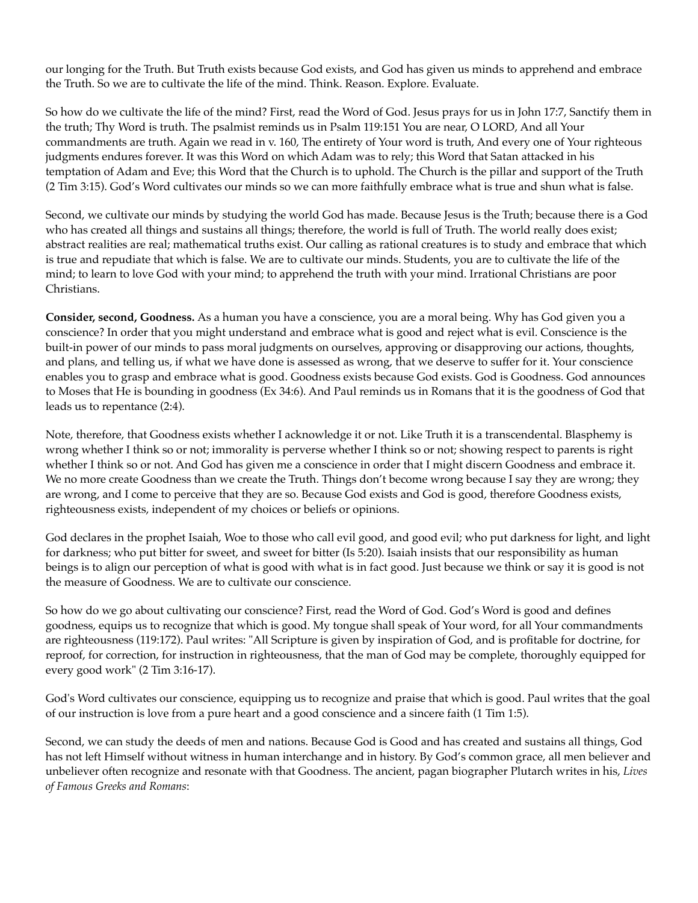our longing for the Truth. But Truth exists because God exists, and God has given us minds to apprehend and embrace the Truth. So we are to cultivate the life of the mind. Think. Reason. Explore. Evaluate.

So how do we cultivate the life of the mind? First, read the Word of God. Jesus prays for us in John 17:7, Sanctify them in the truth; Thy Word is truth. The psalmist reminds us in Psalm 119:151 You are near, O LORD, And all Your commandments are truth. Again we read in v. 160, The entirety of Your word is truth, And every one of Your righteous judgments endures forever. It was this Word on which Adam was to rely; this Word that Satan attacked in his temptation of Adam and Eve; this Word that the Church is to uphold. The Church is the pillar and support of the Truth (2 Tim 3:15). God's Word cultivates our minds so we can more faithfully embrace what is true and shun what is false.

Second, we cultivate our minds by studying the world God has made. Because Jesus is the Truth; because there is a God who has created all things and sustains all things; therefore, the world is full of Truth. The world really does exist; abstract realities are real; mathematical truths exist. Our calling as rational creatures is to study and embrace that which is true and repudiate that which is false. We are to cultivate our minds. Students, you are to cultivate the life of the mind; to learn to love God with your mind; to apprehend the truth with your mind. Irrational Christians are poor Christians.

**Consider, second, Goodness.** As a human you have a conscience, you are a moral being. Why has God given you a conscience? In order that you might understand and embrace what is good and reject what is evil. Conscience is the built-in power of our minds to pass moral judgments on ourselves, approving or disapproving our actions, thoughts, and plans, and telling us, if what we have done is assessed as wrong, that we deserve to suffer for it. Your conscience enables you to grasp and embrace what is good. Goodness exists because God exists. God is Goodness. God announces to Moses that He is bounding in goodness (Ex 34:6). And Paul reminds us in Romans that it is the goodness of God that leads us to repentance (2:4).

Note, therefore, that Goodness exists whether I acknowledge it or not. Like Truth it is a transcendental. Blasphemy is wrong whether I think so or not; immorality is perverse whether I think so or not; showing respect to parents is right whether I think so or not. And God has given me a conscience in order that I might discern Goodness and embrace it. We no more create Goodness than we create the Truth. Things don't become wrong because I say they are wrong; they are wrong, and I come to perceive that they are so. Because God exists and God is good, therefore Goodness exists, righteousness exists, independent of my choices or beliefs or opinions.

God declares in the prophet Isaiah, Woe to those who call evil good, and good evil; who put darkness for light, and light for darkness; who put bitter for sweet, and sweet for bitter (Is 5:20). Isaiah insists that our responsibility as human beings is to align our perception of what is good with what is in fact good. Just because we think or say it is good is not the measure of Goodness. We are to cultivate our conscience.

So how do we go about cultivating our conscience? First, read the Word of God. God's Word is good and defines goodness, equips us to recognize that which is good. My tongue shall speak of Your word, for all Your commandments are righteousness (119:172). Paul writes: "All Scripture is given by inspiration of God, and is profitable for doctrine, for reproof, for correction, for instruction in righteousness, that the man of God may be complete, thoroughly equipped for every good work" (2 Tim 3:16-17).

God's Word cultivates our conscience, equipping us to recognize and praise that which is good. Paul writes that the goal of our instruction is love from a pure heart and a good conscience and a sincere faith (1 Tim 1:5).

Second, we can study the deeds of men and nations. Because God is Good and has created and sustains all things, God has not left Himself without witness in human interchange and in history. By God's common grace, all men believer and unbeliever often recognize and resonate with that Goodness. The ancient, pagan biographer Plutarch writes in his, *Lives of Famous Greeks and Romans*: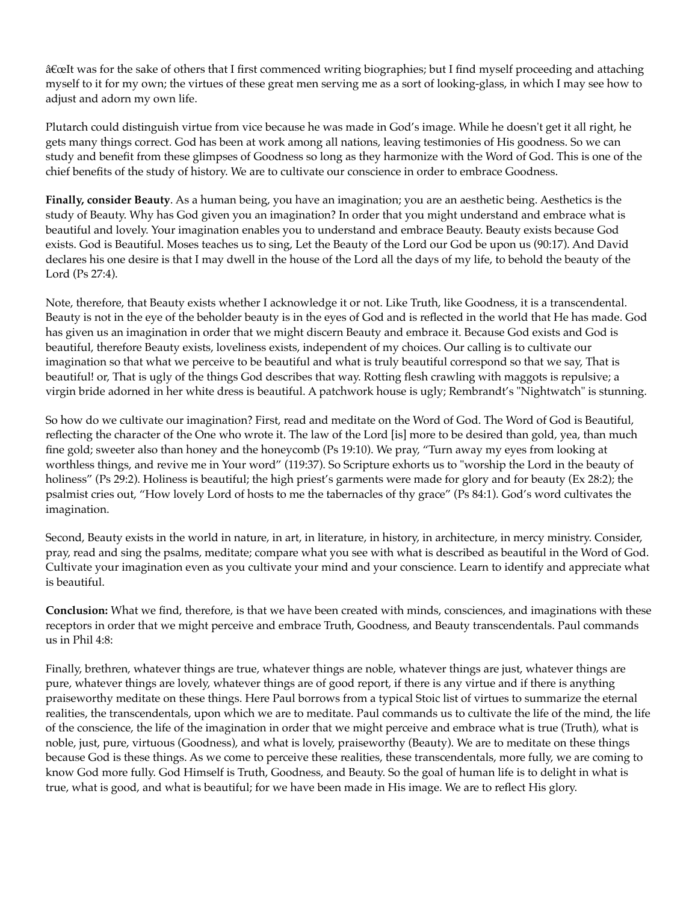â€œIt was for the sake of others that I first commenced writing biographies; but I find myself proceeding and attaching myself to it for my own; the virtues of these great men serving me as a sort of looking-glass, in which I may see how to adjust and adorn my own life.

Plutarch could distinguish virtue from vice because he was made in God's image. While he doesn't get it all right, he gets many things correct. God has been at work among all nations, leaving testimonies of His goodness. So we can study and benefit from these glimpses of Goodness so long as they harmonize with the Word of God. This is one of the chief benefits of the study of history. We are to cultivate our conscience in order to embrace Goodness.

**Finally, consider Beauty**. As a human being, you have an imagination; you are an aesthetic being. Aesthetics is the study of Beauty. Why has God given you an imagination? In order that you might understand and embrace what is beautiful and lovely. Your imagination enables you to understand and embrace Beauty. Beauty exists because God exists. God is Beautiful. Moses teaches us to sing, Let the Beauty of the Lord our God be upon us (90:17). And David declares his one desire is that I may dwell in the house of the Lord all the days of my life, to behold the beauty of the Lord (Ps 27:4).

Note, therefore, that Beauty exists whether I acknowledge it or not. Like Truth, like Goodness, it is a transcendental. Beauty is not in the eye of the beholder beauty is in the eyes of God and is reflected in the world that He has made. God has given us an imagination in order that we might discern Beauty and embrace it. Because God exists and God is beautiful, therefore Beauty exists, loveliness exists, independent of my choices. Our calling is to cultivate our imagination so that what we perceive to be beautiful and what is truly beautiful correspond so that we say, That is beautiful! or, That is ugly of the things God describes that way. Rotting flesh crawling with maggots is repulsive; a virgin bride adorned in her white dress is beautiful. A patchwork house is ugly; Rembrandt's "Nightwatch" is stunning.

So how do we cultivate our imagination? First, read and meditate on the Word of God. The Word of God is Beautiful, reflecting the character of the One who wrote it. The law of the Lord [is] more to be desired than gold, yea, than much fine gold; sweeter also than honey and the honeycomb (Ps 19:10). We pray, "Turn away my eyes from looking at worthless things, and revive me in Your word" (119:37). So Scripture exhorts us to "worship the Lord in the beauty of holiness" (Ps 29:2). Holiness is beautiful; the high priest's garments were made for glory and for beauty (Ex 28:2); the psalmist cries out, "How lovely Lord of hosts to me the tabernacles of thy grace" (Ps 84:1). God's word cultivates the imagination.

Second, Beauty exists in the world in nature, in art, in literature, in history, in architecture, in mercy ministry. Consider, pray, read and sing the psalms, meditate; compare what you see with what is described as beautiful in the Word of God. Cultivate your imagination even as you cultivate your mind and your conscience. Learn to identify and appreciate what is beautiful.

**Conclusion:** What we find, therefore, is that we have been created with minds, consciences, and imaginations with these receptors in order that we might perceive and embrace Truth, Goodness, and Beauty transcendentals. Paul commands us in Phil 4:8:

Finally, brethren, whatever things are true, whatever things are noble, whatever things are just, whatever things are pure, whatever things are lovely, whatever things are of good report, if there is any virtue and if there is anything praiseworthy meditate on these things. Here Paul borrows from a typical Stoic list of virtues to summarize the eternal realities, the transcendentals, upon which we are to meditate. Paul commands us to cultivate the life of the mind, the life of the conscience, the life of the imagination in order that we might perceive and embrace what is true (Truth), what is noble, just, pure, virtuous (Goodness), and what is lovely, praiseworthy (Beauty). We are to meditate on these things because God is these things. As we come to perceive these realities, these transcendentals, more fully, we are coming to know God more fully. God Himself is Truth, Goodness, and Beauty. So the goal of human life is to delight in what is true, what is good, and what is beautiful; for we have been made in His image. We are to reflect His glory.